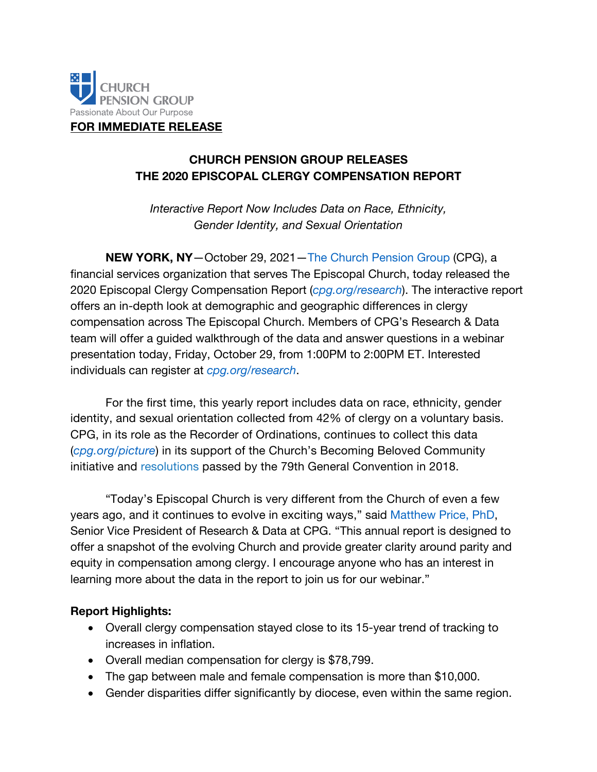

**FOR IMMEDIATE RELEASE**

## **CHURCH PENSION GROUP RELEASES THE 2020 EPISCOPAL CLERGY COMPENSATION REPORT**

*Interactive Report Now Includes Data on Race, Ethnicity, Gender Identity, and Sexual Orientation*

**NEW YORK, NY**—October 29, 2021—[The Church Pension Group](www.cpg.org) (CPG), a financial services organization that serves The Episcopal Church, today released the 2020 Episcopal Clergy Compensation Report (*[cpg.org/research](www.cpg.org/research)*). The interactive report offers an in-depth look at demographic and geographic differences in clergy compensation across The Episcopal Church. Members of CPG's Research & Data team will offer a guided walkthrough of the data and answer questions in a webinar presentation today, Friday, October 29, from 1:00PM to 2:00PM ET. Interested individuals can register at *[cpg.org/research](www.cpg.org/research)*.

For the first time, this yearly report includes data on race, ethnicity, gender identity, and sexual orientation collected from 42% of clergy on a voluntary basis. CPG, in its role as the Recorder of Ordinations, continues to collect this data (*[cpg.org/picture](www.cpg.org/picture)*) in its support of the Church's Becoming Beloved Community initiative and [resolutions](www.cpg.org/picture) passed by the 79th General Convention in 2018.

"Today's Episcopal Church is very different from the Church of even a few years ago, and it continues to evolve in exciting ways," said [Matthew Price, PhD](www.cpg.org/research), Senior Vice President of Research & Data at CPG. "This annual report is designed to offer a snapshot of the evolving Church and provide greater clarity around parity and equity in compensation among clergy. I encourage anyone who has an interest in learning more about the data in the report to join us for our webinar."

## **Report Highlights:**

- Overall clergy compensation stayed close to its 15-year trend of tracking to increases in inflation.
- Overall median compensation for clergy is \$78,799.
- The gap between male and female compensation is more than \$10,000.
- Gender disparities differ significantly by diocese, even within the same region.